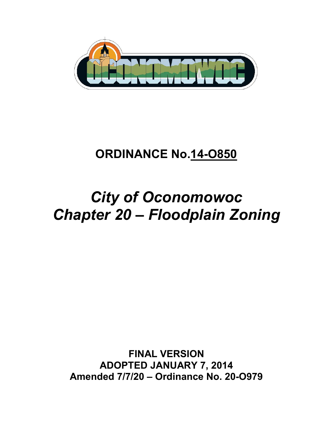

# **ORDINANCE No.14-O850**

# *City of Oconomowoc Chapter 20 – Floodplain Zoning*

**FINAL VERSION ADOPTED JANUARY 7, 2014 Amended 7/7/20 – Ordinance No. 20-O979**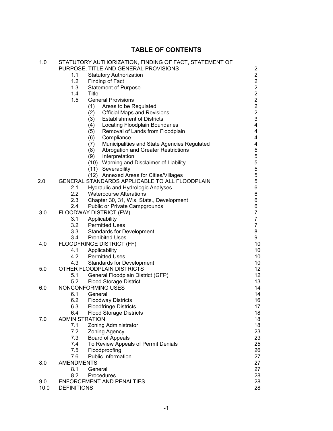# **TABLE OF CONTENTS**

| 1.0  | STATUTORY AUTHORIZATION, FINDING OF FACT, STATEMENT OF<br>PURPOSE, TITLE AND GENERAL PROVISIONS |                                                     | 2                       |
|------|-------------------------------------------------------------------------------------------------|-----------------------------------------------------|-------------------------|
|      | 1.1                                                                                             | <b>Statutory Authorization</b>                      | $\overline{2}$          |
|      | 1.2<br>Finding of Fact                                                                          |                                                     | $\overline{2}$          |
|      | 1.3                                                                                             | <b>Statement of Purpose</b>                         | $\overline{2}$          |
|      | 1.4                                                                                             | Title                                               | $\overline{2}$          |
|      |                                                                                                 | <b>General Provisions</b>                           | $\overline{2}$          |
|      | 1.5                                                                                             |                                                     |                         |
|      |                                                                                                 | (1)<br>Areas to be Regulated                        | $\overline{c}$          |
|      |                                                                                                 | (2) Official Maps and Revisions                     | $\overline{2}$          |
|      |                                                                                                 | <b>Establishment of Districts</b><br>(3)            | 3                       |
|      |                                                                                                 | (4) Locating Floodplain Boundaries                  | 4                       |
|      |                                                                                                 | Removal of Lands from Floodplain<br>(5)             | 4                       |
|      |                                                                                                 | (6)<br>Compliance                                   | 4                       |
|      |                                                                                                 | Municipalities and State Agencies Regulated<br>(7)  | $\overline{\mathbf{4}}$ |
|      |                                                                                                 | (8)<br>Abrogation and Greater Restrictions          | 5                       |
|      |                                                                                                 | (9)<br>Interpretation                               | 5                       |
|      |                                                                                                 | (10) Warning and Disclaimer of Liability            | 5                       |
|      |                                                                                                 | (11) Severability                                   | 5                       |
|      |                                                                                                 | (12) Annexed Areas for Cities/Villages              | 5                       |
| 2.0  |                                                                                                 | GENERAL STANDARDS APPLICABLE TO ALL FLOODPLAIN      | 5                       |
|      | 2.1                                                                                             | <b>Hydraulic and Hydrologic Analyses</b>            | 6                       |
|      | 2.2                                                                                             | <b>Watercourse Alterations</b>                      | 6                       |
|      | 2.3                                                                                             | Chapter 30, 31, Wis. Stats., Development            | 6                       |
|      | 2.4                                                                                             | <b>Public or Private Campgrounds</b>                | 6                       |
| 3.0  | FLOODWAY DISTRICT (FW)                                                                          |                                                     | $\overline{7}$          |
|      | 3.1                                                                                             |                                                     | $\overline{7}$          |
|      |                                                                                                 | Applicability                                       |                         |
|      |                                                                                                 | 3.2 Permitted Uses<br>3.3 Standards for Development | $\overline{7}$          |
|      |                                                                                                 |                                                     | 8                       |
|      |                                                                                                 | 3.4 Prohibited Uses                                 | 9                       |
| 4.0  |                                                                                                 | FLOODFRINGE DISTRICT (FF)                           | 10                      |
|      | 4.1                                                                                             | Applicability                                       | 10                      |
|      |                                                                                                 | 4.2 Permitted Uses                                  | 10                      |
|      | 4.3                                                                                             | <b>Standards for Development</b>                    | 10                      |
| 5.0  |                                                                                                 | OTHER FLOODPLAIN DISTRICTS                          | 12                      |
|      | 5.1                                                                                             | General Floodplain District (GFP)                   | 12                      |
|      | 5.2                                                                                             | <b>Flood Storage District</b>                       | 13                      |
| 6.0  |                                                                                                 | NONCONFORMING USES                                  | 14                      |
|      | 6.1                                                                                             | General                                             | 14                      |
|      | 6.2                                                                                             | <b>Floodway Districts</b>                           | 16                      |
|      | 6.3                                                                                             | <b>Floodfringe Districts</b>                        | 17                      |
|      | 6.4                                                                                             | <b>Flood Storage Districts</b>                      | 18                      |
| 7.0  | <b>ADMINISTRATION</b>                                                                           |                                                     | 18                      |
|      | 7.1                                                                                             | <b>Zoning Administrator</b>                         | 18                      |
|      | 7.2                                                                                             | <b>Zoning Agency</b>                                | 23                      |
|      | 7.3                                                                                             | <b>Board of Appeals</b>                             | 23                      |
|      | 7.4                                                                                             | To Review Appeals of Permit Denials                 | 25                      |
|      | 7.5                                                                                             | Floodproofing                                       | 26                      |
|      | 7.6                                                                                             | <b>Public Information</b>                           | 27                      |
| 8.0  | <b>AMENDMENTS</b>                                                                               |                                                     | 27                      |
|      | 8.1                                                                                             | General                                             | 27                      |
|      | 8.2                                                                                             | Procedures                                          | 28                      |
| 9.0  |                                                                                                 | <b>ENFORCEMENT AND PENALTIES</b>                    | 28                      |
|      |                                                                                                 |                                                     |                         |
| 10.0 | <b>DEFINITIONS</b>                                                                              |                                                     | 28                      |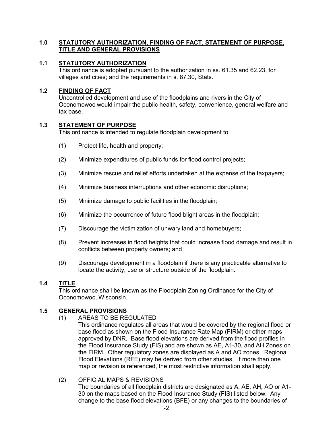# **1.0 STATUTORY AUTHORIZATION, FINDING OF FACT, STATEMENT OF PURPOSE, TITLE AND GENERAL PROVISIONS**

## **1.1 STATUTORY AUTHORIZATION**

This ordinance is adopted pursuant to the authorization in ss. 61.35 and 62.23, for villages and cities; and the requirements in s. 87.30, Stats.

## **1.2 FINDING OF FACT**

Uncontrolled development and use of the floodplains and rivers in the City of Oconomowoc would impair the public health, safety, convenience, general welfare and tax base.

## **1.3 STATEMENT OF PURPOSE**

This ordinance is intended to regulate floodplain development to:

- (1) Protect life, health and property;
- (2) Minimize expenditures of public funds for flood control projects;
- (3) Minimize rescue and relief efforts undertaken at the expense of the taxpayers;
- (4) Minimize business interruptions and other economic disruptions;
- (5) Minimize damage to public facilities in the floodplain;
- (6) Minimize the occurrence of future flood blight areas in the floodplain;
- (7) Discourage the victimization of unwary land and homebuyers;
- (8) Prevent increases in flood heights that could increase flood damage and result in conflicts between property owners; and
- (9) Discourage development in a floodplain if there is any practicable alternative to locate the activity, use or structure outside of the floodplain.

# **1.4 TITLE**

This ordinance shall be known as the Floodplain Zoning Ordinance for the City of Oconomowoc, Wisconsin.

# **1.5 GENERAL PROVISIONS**

#### (1) AREAS TO BE REGULATED

This ordinance regulates all areas that would be covered by the regional flood or base flood as shown on the Flood Insurance Rate Map (FIRM) or other maps approved by DNR. Base flood elevations are derived from the flood profiles in the Flood Insurance Study (FIS) and are shown as AE, A1-30, and AH Zones on the FIRM. Other regulatory zones are displayed as A and AO zones. Regional Flood Elevations (RFE) may be derived from other studies. If more than one map or revision is referenced, the most restrictive information shall apply.

#### (2) OFFICIAL MAPS & REVISIONS

The boundaries of all floodplain districts are designated as A, AE, AH, AO or A1- 30 on the maps based on the Flood Insurance Study (FIS) listed below. Any change to the base flood elevations (BFE) or any changes to the boundaries of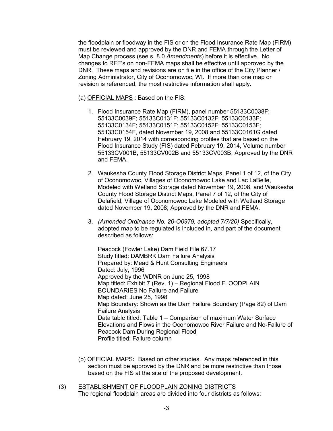the floodplain or floodway in the FIS or on the Flood Insurance Rate Map (FIRM) must be reviewed and approved by the DNR and FEMA through the Letter of Map Change process (see s. 8.0 *Amendments*) before it is effective. No changes to RFE's on non-FEMA maps shall be effective until approved by the DNR. These maps and revisions are on file in the office of the City Planner / Zoning Administrator, City of Oconomowoc, WI. If more than one map or revision is referenced, the most restrictive information shall apply.

(a) OFFICIAL MAPS : Based on the FIS:

- 1. Flood Insurance Rate Map (FIRM), panel number 55133C0038F; 55133C0039F; 55133C0131F; 55133C0132F; 55133C0133F; 55133C0134F; 55133C0151F; 55133C0152F; 55133C0153F; 55133C0154F, dated November 19, 2008 and 55133C0161G dated February 19, 2014 with corresponding profiles that are based on the Flood Insurance Study (FIS) dated February 19, 2014, Volume number 55133CV001B, 55133CV002B and 55133CV003B; Approved by the DNR and FEMA.
- 2. Waukesha County Flood Storage District Maps, Panel 1 of 12, of the City of Oconomowoc, Villages of Oconomowoc Lake and Lac LaBelle, Modeled with Wetland Storage dated November 19, 2008, and Waukesha County Flood Storage District Maps, Panel 7 of 12, of the City of Delafield, Village of Oconomowoc Lake Modeled with Wetland Storage dated November 19, 2008; Approved by the DNR and FEMA.
- 3. *(Amended Ordinance No. 20-O0979, adopted 7/7/20)* Specifically, adopted map to be regulated is included in, and part of the document described as follows:

Peacock (Fowler Lake) Dam Field File 67.17 Study titled: DAMBRK Dam Failure Analysis Prepared by: Mead & Hunt Consulting Engineers Dated: July, 1996 Approved by the WDNR on June 25, 1998 Map titled: Exhibit 7 (Rev. 1) – Regional Flood FLOODPLAIN BOUNDARIES No Failure and Failure Map dated: June 25, 1998 Map Boundary: Shown as the Dam Failure Boundary (Page 82) of Dam Failure Analysis Data table titled: Table 1 – Comparison of maximum Water Surface Elevations and Flows in the Oconomowoc River Failure and No-Failure of Peacock Dam During Regional Flood Profile titled: Failure column

- (b) OFFICIAL MAPS**:** Based on other studies.Any maps referenced in this section must be approved by the DNR and be more restrictive than those based on the FIS at the site of the proposed development.
- (3) ESTABLISHMENT OF FLOODPLAIN ZONING DISTRICTS The regional floodplain areas are divided into four districts as follows: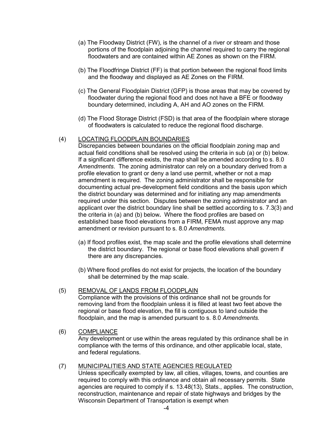- (a) The Floodway District (FW), is the channel of a river or stream and those portions of the floodplain adjoining the channel required to carry the regional floodwaters and are contained within AF Zones as shown on the FIRM.
- (b) The Floodfringe District (FF) is that portion between the regional flood limits and the floodway and displayed as AE Zones on the FIRM.
- (c) The General Floodplain District (GFP) is those areas that may be covered by floodwater during the regional flood and does not have a BFE or floodway boundary determined, including A, AH and AO zones on the FIRM.
- (d) The Flood Storage District (FSD) is that area of the floodplain where storage of floodwaters is calculated to reduce the regional flood discharge.

#### (4) LOCATING FLOODPLAIN BOUNDARIES

Discrepancies between boundaries on the official floodplain zoning map and actual field conditions shall be resolved using the criteria in sub (a) or (b) below. If a significant difference exists, the map shall be amended according to s. 8.0 *Amendments*. The zoning administrator can rely on a boundary derived from a profile elevation to grant or deny a land use permit, whether or not a map amendment is required. The zoning administrator shall be responsible for documenting actual pre-development field conditions and the basis upon which the district boundary was determined and for initiating any map amendments required under this section. Disputes between the zoning administrator and an applicant over the district boundary line shall be settled according to s. 7.3(3) and the criteria in (a) and (b) below**.** Where the flood profiles are based on established base flood elevations from a FIRM, FEMA must approve any map amendment or revision pursuant to s. 8.0 *Amendments*.

- (a) If flood profiles exist, the map scale and the profile elevations shall determine the district boundary. The regional or base flood elevations shall govern if there are any discrepancies.
- (b) Where flood profiles do not exist for projects, the location of the boundary shall be determined by the map scale.

# (5) REMOVAL OF LANDS FROM FLOODPLAIN

Compliance with the provisions of this ordinance shall not be grounds for removing land from the floodplain unless it is filled at least two feet above the regional or base flood elevation, the fill is contiguous to land outside the floodplain, and the map is amended pursuant to s. 8.0 *Amendments.*

#### (6) COMPLIANCE Any development or use within the areas regulated by this ordinance shall be in compliance with the terms of this ordinance, and other applicable local, state, and federal regulations.

# (7) MUNICIPALITIES AND STATE AGENCIES REGULATED

Unless specifically exempted by law, all cities, villages, towns, and counties are required to comply with this ordinance and obtain all necessary permits. State agencies are required to comply if s. 13.48(13), Stats., applies. The construction, reconstruction, maintenance and repair of state highways and bridges by the Wisconsin Department of Transportation is exempt when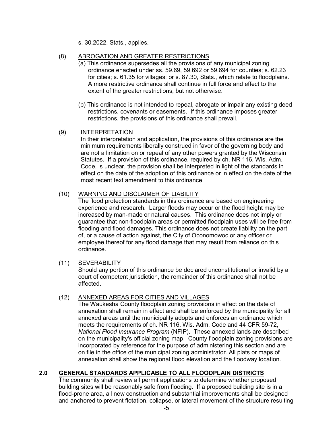s. 30.2022, Stats., applies.

# (8) ABROGATION AND GREATER RESTRICTIONS

- (a) This ordinance supersedes all the provisions of any municipal zoning ordinance enacted under ss. 59.69, 59.692 or 59.694 for counties; s. 62.23 for cities; s. 61.35 for villages; or s. 87.30, Stats., which relate to floodplains. A more restrictive ordinance shall continue in full force and effect to the extent of the greater restrictions, but not otherwise.
- (b) This ordinance is not intended to repeal, abrogate or impair any existing deed restrictions, covenants or easements. If this ordinance imposes greater restrictions, the provisions of this ordinance shall prevail.

#### (9) INTERPRETATION

In their interpretation and application, the provisions of this ordinance are the minimum requirements liberally construed in favor of the governing body and are not a limitation on or repeal of any other powers granted by the Wisconsin Statutes. If a provision of this ordinance, required by ch. NR 116, Wis. Adm. Code, is unclear, the provision shall be interpreted in light of the standards in effect on the date of the adoption of this ordinance or in effect on the date of the most recent text amendment to this ordinance.

#### (10) WARNING AND DISCLAIMER OF LIABILITY

The flood protection standards in this ordinance are based on engineering experience and research. Larger floods may occur or the flood height may be increased by man-made or natural causes. This ordinance does not imply or guarantee that non-floodplain areas or permitted floodplain uses will be free from flooding and flood damages. This ordinance does not create liability on the part of, or a cause of action against, the City of Oconomowoc or any officer or employee thereof for any flood damage that may result from reliance on this ordinance.

#### (11) SEVERABILITY

Should any portion of this ordinance be declared unconstitutional or invalid by a court of competent jurisdiction, the remainder of this ordinance shall not be affected.

#### (12) ANNEXED AREAS FOR CITIES AND VILLAGES

The Waukesha County floodplain zoning provisions in effect on the date of annexation shall remain in effect and shall be enforced by the municipality for all annexed areas until the municipality adopts and enforces an ordinance which meets the requirements of ch. NR 116, Wis. Adm. Code and 44 CFR 59-72, *National Flood Insurance Program* (NFIP). These annexed lands are described on the municipality's official zoning map. County floodplain zoning provisions are incorporated by reference for the purpose of administering this section and are on file in the office of the municipal zoning administrator. All plats or maps of annexation shall show the regional flood elevation and the floodway location.

# **2.0 GENERAL STANDARDS APPLICABLE TO ALL FLOODPLAIN DISTRICTS**

The community shall review all permit applications to determine whether proposed building sites will be reasonably safe from flooding. If a proposed building site is in a flood-prone area, all new construction and substantial improvements shall be designed and anchored to prevent flotation, collapse, or lateral movement of the structure resulting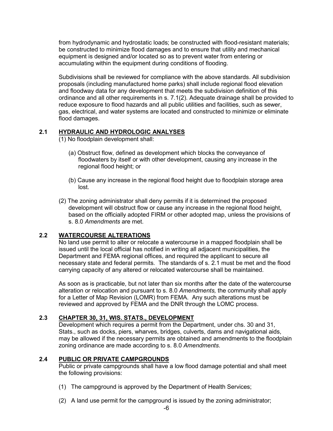from hydrodynamic and hydrostatic loads; be constructed with flood-resistant materials; be constructed to minimize flood damages and to ensure that utility and mechanical equipment is designed and/or located so as to prevent water from entering or accumulating within the equipment during conditions of flooding.

Subdivisions shall be reviewed for compliance with the above standards. All subdivision proposals (including manufactured home parks) shall include regional flood elevation and floodway data for any development that meets the subdivision definition of this ordinance and all other requirements in s. 7.1(2). Adequate drainage shall be provided to reduce exposure to flood hazards and all public utilities and facilities, such as sewer, gas, electrical, and water systems are located and constructed to minimize or eliminate flood damages.

# **2.1 HYDRAULIC AND HYDROLOGIC ANALYSES**

(1) No floodplain development shall:

- (a) Obstruct flow, defined as development which blocks the conveyance of floodwaters by itself or with other development, causing any increase in the regional flood height; or
- (b) Cause any increase in the regional flood height due to floodplain storage area lost.
- (2) The zoning administrator shall deny permits if it is determined the proposed development will obstruct flow or cause any increase in the regional flood height, based on the officially adopted FIRM or other adopted map, unless the provisions of s. 8.0 *Amendments* are met.

# **2.2 WATERCOURSE ALTERATIONS**

No land use permit to alter or relocate a watercourse in a mapped floodplain shall be issued until the local official has notified in writing all adjacent municipalities, the Department and FEMA regional offices, and required the applicant to secure all necessary state and federal permits. The standards of s. 2.1 must be met and the flood carrying capacity of any altered or relocated watercourse shall be maintained.

As soon as is practicable, but not later than six months after the date of the watercourse alteration or relocation and pursuant to s. 8.0 *Amendments,* the community shall apply for a Letter of Map Revision (LOMR) from FEMA. Any such alterations must be reviewed and approved by FEMA and the DNR through the LOMC process.

#### **2.3 CHAPTER 30, 31, WIS. STATS., DEVELOPMENT**

Development which requires a permit from the Department, under chs. 30 and 31, Stats., such as docks, piers, wharves, bridges, culverts, dams and navigational aids, may be allowed if the necessary permits are obtained and amendments to the floodplain zoning ordinance are made according to s. 8.0 *Amendments*.

#### **2.4 PUBLIC OR PRIVATE CAMPGROUNDS**

Public or private campgrounds shall have a low flood damage potential and shall meet the following provisions:

- (1) The campground is approved by the Department of Health Services;
- (2) A land use permit for the campground is issued by the zoning administrator;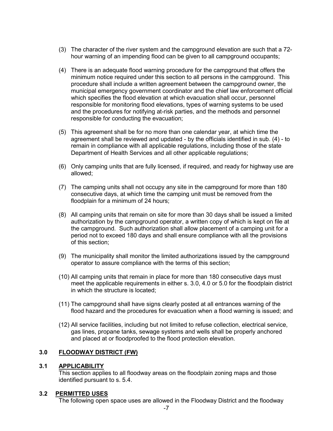- (3) The character of the river system and the campground elevation are such that a 72 hour warning of an impending flood can be given to all campground occupants;
- (4) There is an adequate flood warning procedure for the campground that offers the minimum notice required under this section to all persons in the campground. This procedure shall include a written agreement between the campground owner, the municipal emergency government coordinator and the chief law enforcement official which specifies the flood elevation at which evacuation shall occur, personnel responsible for monitoring flood elevations, types of warning systems to be used and the procedures for notifying at-risk parties, and the methods and personnel responsible for conducting the evacuation;
- (5) This agreement shall be for no more than one calendar year, at which time the agreement shall be reviewed and updated - by the officials identified in sub. (4) - to remain in compliance with all applicable regulations, including those of the state Department of Health Services and all other applicable regulations;
- (6) Only camping units that are fully licensed, if required, and ready for highway use are allowed;
- (7) The camping units shall not occupy any site in the campground for more than 180 consecutive days, at which time the camping unit must be removed from the floodplain for a minimum of 24 hours;
- (8) All camping units that remain on site for more than 30 days shall be issued a limited authorization by the campground operator, a written copy of which is kept on file at the campground. Such authorization shall allow placement of a camping unit for a period not to exceed 180 days and shall ensure compliance with all the provisions of this section;
- (9) The municipality shall monitor the limited authorizations issued by the campground operator to assure compliance with the terms of this section;
- (10) All camping units that remain in place for more than 180 consecutive days must meet the applicable requirements in either s. 3.0, 4.0 or 5.0 for the floodplain district in which the structure is located;
- (11) The campground shall have signs clearly posted at all entrances warning of the flood hazard and the procedures for evacuation when a flood warning is issued; and
- (12) All service facilities, including but not limited to refuse collection, electrical service, gas lines, propane tanks, sewage systems and wells shall be properly anchored and placed at or floodproofed to the flood protection elevation.

#### **3.0 FLOODWAY DISTRICT (FW)**

#### **3.1 APPLICABILITY**

This section applies to all floodway areas on the floodplain zoning maps and those identified pursuant to s. 5.4.

#### **3.2 PERMITTED USES**

The following open space uses are allowed in the Floodway District and the floodway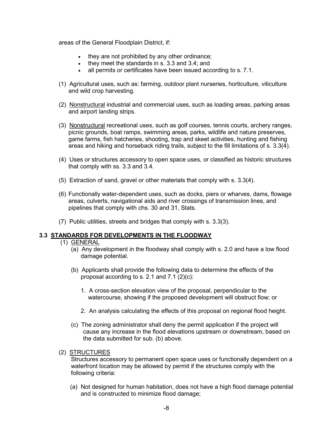areas of the General Floodplain District, if:

- they are not prohibited by any other ordinance;
- they meet the standards in s. 3.3 and 3.4; and
- all permits or certificates have been issued according to s. 7.1.
- (1) Agricultural uses, such as: farming, outdoor plant nurseries, horticulture, viticulture and wild crop harvesting.
- (2) Nonstructural industrial and commercial uses, such as loading areas, parking areas and airport landing strips.
- (3) Nonstructural recreational uses, such as golf courses, tennis courts, archery ranges, picnic grounds, boat ramps, swimming areas, parks, wildlife and nature preserves, game farms, fish hatcheries, shooting, trap and skeet activities, hunting and fishing areas and hiking and horseback riding trails, subject to the fill limitations of s. 3.3(4).
- (4) Uses or structures accessory to open space uses, or classified as historic structures that comply with ss. 3.3 and 3.4.
- (5) Extraction of sand, gravel or other materials that comply with s. 3.3(4).
- (6) Functionally water-dependent uses, such as docks, piers or wharves, dams, flowage areas, culverts, navigational aids and river crossings of transmission lines, and pipelines that comply with chs. 30 and 31, Stats.
- (7) Public utilities, streets and bridges that comply with s. 3.3(3).

#### **3.3 STANDARDS FOR DEVELOPMENTS IN THE FLOODWAY**

- (1) GENERAL
	- (a) Any development in the floodway shall comply with s. 2.0 and have a low flood damage potential.
	- (b) Applicants shall provide the following data to determine the effects of the proposal according to s. 2.1 and  $7.1$  (2)(c):
		- 1. A cross-section elevation view of the proposal, perpendicular to the watercourse, showing if the proposed development will obstruct flow; or
		- 2. An analysis calculating the effects of this proposal on regional flood height.
	- (c) The zoning administrator shall deny the permit application if the project will cause any increase in the flood elevations upstream or downstream, based on the data submitted for sub. (b) above.
- (2) STRUCTURES

Structures accessory to permanent open space uses or functionally dependent on a waterfront location may be allowed by permit if the structures comply with the following criteria:

(a) Not designed for human habitation, does not have a high flood damage potential and is constructed to minimize flood damage;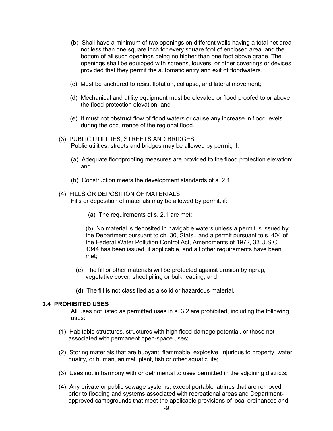- (b) Shall have a minimum of two openings on different walls having a total net area not less than one square inch for every square foot of enclosed area, and the bottom of all such openings being no higher than one foot above grade. The openings shall be equipped with screens, louvers, or other coverings or devices provided that they permit the automatic entry and exit of floodwaters.
- (c) Must be anchored to resist flotation, collapse, and lateral movement;
- (d) Mechanical and utility equipment must be elevated or flood proofed to or above the flood protection elevation; and
- (e) It must not obstruct flow of flood waters or cause any increase in flood levels during the occurrence of the regional flood.
- (3) PUBLIC UTILITIES, STREETS AND BRIDGES Public utilities, streets and bridges may be allowed by permit, if:
	- (a) Adequate floodproofing measures are provided to the flood protection elevation; and
	- (b) Construction meets the development standards of s. 2.1.

#### (4) FILLS OR DEPOSITION OF MATERIALS

Fills or deposition of materials may be allowed by permit, if:

(a) The requirements of s. 2.1 are met;

(b) No material is deposited in navigable waters unless a permit is issued by the Department pursuant to ch. 30, Stats., and a permit pursuant to s. 404 of the Federal Water Pollution Control Act, Amendments of 1972, 33 U.S.C. 1344 has been issued, if applicable, and all other requirements have been met;

- (c) The fill or other materials will be protected against erosion by riprap, vegetative cover, sheet piling or bulkheading; and
- (d) The fill is not classified as a solid or hazardous material.

#### **3.4 PROHIBITED USES**

All uses not listed as permitted uses in s. 3.2 are prohibited, including the following uses:

- (1) Habitable structures, structures with high flood damage potential, or those not associated with permanent open-space uses;
- (2) Storing materials that are buoyant, flammable, explosive, injurious to property, water quality, or human, animal, plant, fish or other aquatic life;
- (3) Uses not in harmony with or detrimental to uses permitted in the adjoining districts;
- (4) Any private or public sewage systems, except portable latrines that are removed prior to flooding and systems associated with recreational areas and Departmentapproved campgrounds that meet the applicable provisions of local ordinances and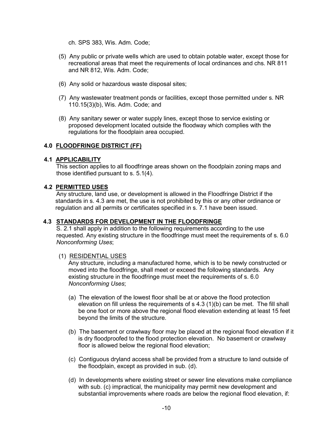ch. SPS 383, Wis. Adm. Code;

- (5) Any public or private wells which are used to obtain potable water, except those for recreational areas that meet the requirements of local ordinances and chs. NR 811 and NR 812, Wis. Adm. Code;
- (6) Any solid or hazardous waste disposal sites;
- (7) Any wastewater treatment ponds or facilities, except those permitted under s. NR 110.15(3)(b), Wis. Adm. Code; and
- (8) Any sanitary sewer or water supply lines, except those to service existing or proposed development located outside the floodway which complies with the regulations for the floodplain area occupied.

## **4.0 FLOODFRINGE DISTRICT (FF)**

#### **4.1 APPLICABILITY**

This section applies to all floodfringe areas shown on the floodplain zoning maps and those identified pursuant to s. 5.1(4).

#### **4.2 PERMITTED USES**

Any structure, land use, or development is allowed in the Floodfringe District if the standards in s. 4.3 are met, the use is not prohibited by this or any other ordinance or regulation and all permits or certificates specified in s. 7.1 have been issued.

#### **4.3 STANDARDS FOR DEVELOPMENT IN THE FLOODFRINGE**

S. 2.1 shall apply in addition to the following requirements according to the use requested. Any existing structure in the floodfringe must meet the requirements of s. 6.0 *Nonconforming Uses*;

#### (1) RESIDENTIAL USES

Any structure, including a manufactured home, which is to be newly constructed or moved into the floodfringe, shall meet or exceed the following standards. Any existing structure in the floodfringe must meet the requirements of s. 6.0 *Nonconforming Uses*;

- (a) The elevation of the lowest floor shall be at or above the flood protection elevation on fill unless the requirements of s 4.3 (1)(b) can be met. The fill shall be one foot or more above the regional flood elevation extending at least 15 feet beyond the limits of the structure.
- (b) The basement or crawlway floor may be placed at the regional flood elevation if it is dry floodproofed to the flood protection elevation. No basement or crawlway floor is allowed below the regional flood elevation;
- (c) Contiguous dryland access shall be provided from a structure to land outside of the floodplain, except as provided in sub. (d).
- (d) In developments where existing street or sewer line elevations make compliance with sub. (c) impractical, the municipality may permit new development and substantial improvements where roads are below the regional flood elevation, if: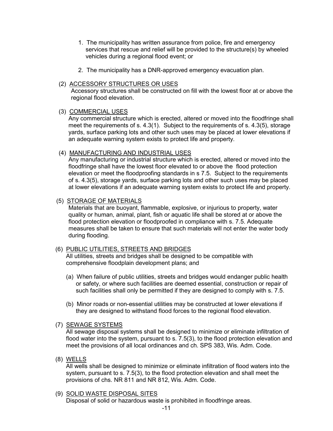- 1. The municipality has written assurance from police, fire and emergency services that rescue and relief will be provided to the structure(s) by wheeled vehicles during a regional flood event; or
- 2. The municipality has a DNR-approved emergency evacuation plan.

#### (2) ACCESSORY STRUCTURES OR USES

Accessory structures shall be constructed on fill with the lowest floor at or above the regional flood elevation.

## (3) COMMERCIAL USES

Any commercial structure which is erected, altered or moved into the floodfringe shall meet the requirements of s. 4.3(1). Subject to the requirements of s. 4.3(5), storage yards, surface parking lots and other such uses may be placed at lower elevations if an adequate warning system exists to protect life and property.

## (4) MANUFACTURING AND INDUSTRIAL USES

Any manufacturing or industrial structure which is erected, altered or moved into the floodfringe shall have the lowest floor elevated to or above the flood protection elevation or meet the floodproofing standards in s 7.5. Subject to the requirements of s. 4.3(5), storage yards, surface parking lots and other such uses may be placed at lower elevations if an adequate warning system exists to protect life and property.

## (5) STORAGE OF MATERIALS

Materials that are buoyant, flammable, explosive, or injurious to property, water quality or human, animal, plant, fish or aquatic life shall be stored at or above the flood protection elevation or floodproofed in compliance with s. 7.5. Adequate measures shall be taken to ensure that such materials will not enter the water body during flooding.

# (6) PUBLIC UTILITIES, STREETS AND BRIDGES

All utilities, streets and bridges shall be designed to be compatible with comprehensive floodplain development plans; and

- (a) When failure of public utilities, streets and bridges would endanger public health or safety, or where such facilities are deemed essential, construction or repair of such facilities shall only be permitted if they are designed to comply with s. 7.5.
- (b) Minor roads or non-essential utilities may be constructed at lower elevations if they are designed to withstand flood forces to the regional flood elevation.

#### (7) SEWAGE SYSTEMS

All sewage disposal systems shall be designed to minimize or eliminate infiltration of flood water into the system, pursuant to s. 7.5(3), to the flood protection elevation and meet the provisions of all local ordinances and ch. SPS 383, Wis. Adm. Code.

(8) WELLS

All wells shall be designed to minimize or eliminate infiltration of flood waters into the system, pursuant to s. 7.5(3), to the flood protection elevation and shall meet the provisions of chs. NR 811 and NR 812, Wis. Adm. Code.

(9) SOLID WASTE DISPOSAL SITES Disposal of solid or hazardous waste is prohibited in floodfringe areas.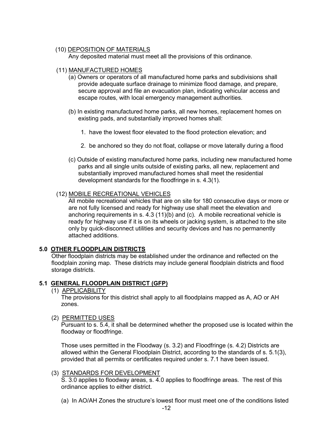#### (10) DEPOSITION OF MATERIALS

Any deposited material must meet all the provisions of this ordinance.

#### (11) MANUFACTURED HOMES

- (a) Owners or operators of all manufactured home parks and subdivisions shall provide adequate surface drainage to minimize flood damage, and prepare, secure approval and file an evacuation plan, indicating vehicular access and escape routes, with local emergency management authorities.
- (b) In existing manufactured home parks, all new homes, replacement homes on existing pads, and substantially improved homes shall:
	- 1. have the lowest floor elevated to the flood protection elevation; and
	- 2. be anchored so they do not float, collapse or move laterally during a flood
- (c) Outside of existing manufactured home parks, including new manufactured home parks and all single units outside of existing parks, all new, replacement and substantially improved manufactured homes shall meet the residential development standards for the floodfringe in s. 4.3(1).

#### (12) MOBILE RECREATIONAL VEHICLES

All mobile recreational vehicles that are on site for 180 consecutive days or more or are not fully licensed and ready for highway use shall meet the elevation and anchoring requirements in s. 4.3 (11)(b) and (c). A mobile recreational vehicle is ready for highway use if it is on its wheels or jacking system, is attached to the site only by quick-disconnect utilities and security devices and has no permanently attached additions.

#### **5.0 OTHER FLOODPLAIN DISTRICTS**

Other floodplain districts may be established under the ordinance and reflected on the floodplain zoning map. These districts may include general floodplain districts and flood storage districts.

#### **5.1 GENERAL FLOODPLAIN DISTRICT (GFP)**

(1) APPLICABILITY

The provisions for this district shall apply to all floodplains mapped as A, AO or AH zones.

#### (2) PERMITTED USES

Pursuant to s. 5.4, it shall be determined whether the proposed use is located within the floodway or floodfringe.

Those uses permitted in the Floodway (s. 3.2) and Floodfringe (s. 4.2) Districts are allowed within the General Floodplain District, according to the standards of s. 5.1(3), provided that all permits or certificates required under s. 7.1 have been issued.

#### (3) STANDARDS FOR DEVELOPMENT

S. 3.0 applies to floodway areas, s. 4.0 applies to floodfringe areas. The rest of this ordinance applies to either district.

(a) In AO/AH Zones the structure's lowest floor must meet one of the conditions listed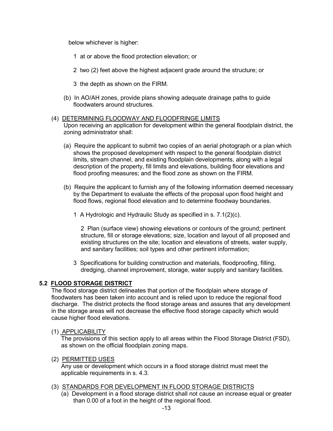below whichever is higher:

- 1 at or above the flood protection elevation; or
- 2 two (2) feet above the highest adjacent grade around the structure; or
- 3 the depth as shown on the FIRM.
- (b) In AO/AH zones, provide plans showing adequate drainage paths to guide floodwaters around structures.

#### (4) DETERMINING FLOODWAY AND FLOODFRINGE LIMITS

Upon receiving an application for development within the general floodplain district, the zoning administrator shall:

- (a) Require the applicant to submit two copies of an aerial photograph or a plan which shows the proposed development with respect to the general floodplain district limits, stream channel, and existing floodplain developments, along with a legal description of the property, fill limits and elevations, building floor elevations and flood proofing measures; and the flood zone as shown on the FIRM.
- (b) Require the applicant to furnish any of the following information deemed necessary by the Department to evaluate the effects of the proposal upon flood height and flood flows, regional flood elevation and to determine floodway boundaries.
	- 1 A Hydrologic and Hydraulic Study as specified in s. 7.1(2)(c).

2 Plan (surface view) showing elevations or contours of the ground; pertinent structure, fill or storage elevations; size, location and layout of all proposed and existing structures on the site; location and elevations of streets, water supply, and sanitary facilities; soil types and other pertinent information;

3 Specifications for building construction and materials, floodproofing, filling, dredging, channel improvement, storage, water supply and sanitary facilities.

#### **5.2 FLOOD STORAGE DISTRICT**

The flood storage district delineates that portion of the floodplain where storage of floodwaters has been taken into account and is relied upon to reduce the regional flood discharge. The district protects the flood storage areas and assures that any development in the storage areas will not decrease the effective flood storage capacity which would cause higher flood elevations.

#### (1) APPLICABILITY

The provisions of this section apply to all areas within the Flood Storage District (FSD), as shown on the official floodplain zoning maps.

#### (2) PERMITTED USES

Any use or development which occurs in a flood storage district must meet the applicable requirements in s. 4.3.

#### (3) STANDARDS FOR DEVELOPMENT IN FLOOD STORAGE DISTRICTS

(a) Development in a flood storage district shall not cause an increase equal or greater than 0.00 of a foot in the height of the regional flood.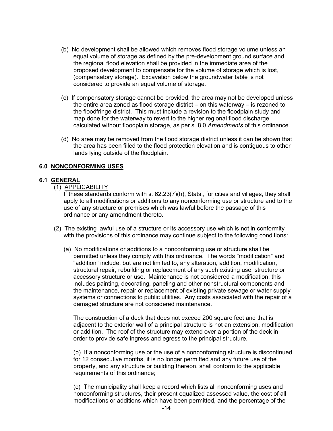- (b) No development shall be allowed which removes flood storage volume unless an equal volume of storage as defined by the pre-development ground surface and the regional flood elevation shall be provided in the immediate area of the proposed development to compensate for the volume of storage which is lost, (compensatory storage). Excavation below the groundwater table is not considered to provide an equal volume of storage.
- (c) If compensatory storage cannot be provided, the area may not be developed unless the entire area zoned as flood storage district – on this waterway – is rezoned to the floodfringe district. This must include a revision to the floodplain study and map done for the waterway to revert to the higher regional flood discharge calculated without floodplain storage, as per s. 8.0 *Amendments* of this ordinance.
- (d) No area may be removed from the flood storage district unless it can be shown that the area has been filled to the flood protection elevation and is contiguous to other lands lying outside of the floodplain.

#### **6.0 NONCONFORMING USES**

#### **6.1 GENERAL**

(1) APPLICABILITY

If these standards conform with s. 62.23(7)(h), Stats., for cities and villages, they shall apply to all modifications or additions to any nonconforming use or structure and to the use of any structure or premises which was lawful before the passage of this ordinance or any amendment thereto.

- (2) The existing lawful use of a structure or its accessory use which is not in conformity with the provisions of this ordinance may continue subject to the following conditions:
	- (a) No modifications or additions to a nonconforming use or structure shall be permitted unless they comply with this ordinance. The words "modification" and "addition" include, but are not limited to, any alteration, addition, modification, structural repair, rebuilding or replacement of any such existing use, structure or accessory structure or use. Maintenance is not considered a modification; this includes painting, decorating, paneling and other nonstructural components and the maintenance, repair or replacement of existing private sewage or water supply systems or connections to public utilities. Any costs associated with the repair of a damaged structure are not considered maintenance.

The construction of a deck that does not exceed 200 square feet and that is adjacent to the exterior wall of a principal structure is not an extension, modification or addition. The roof of the structure may extend over a portion of the deck in order to provide safe ingress and egress to the principal structure.

(b) If a nonconforming use or the use of a nonconforming structure is discontinued for 12 consecutive months, it is no longer permitted and any future use of the property, and any structure or building thereon, shall conform to the applicable requirements of this ordinance;

(c) The municipality shall keep a record which lists all nonconforming uses and nonconforming structures, their present equalized assessed value, the cost of all modifications or additions which have been permitted, and the percentage of the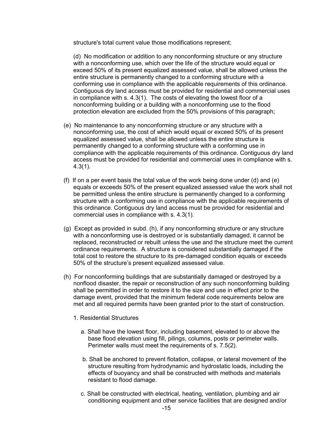structure's total current value those modifications represent;

(d) No modification or addition to any nonconforming structure or any structure with a nonconforming use, which over the life of the structure would equal or exceed 50% of its present equalized assessed value, shall be allowed unless the entire structure is permanently changed to a conforming structure with a conforming use in compliance with the applicable requirements of this ordinance. Contiguous dry land access must be provided for residential and commercial uses in compliance with s. 4.3(1). The costs of elevating the lowest floor of a nonconforming building or a building with a nonconforming use to the flood protection elevation are excluded from the 50% provisions of this paragraph;

- (e) No maintenance to any nonconforming structure or any structure with a nonconforming use, the cost of which would equal or exceed 50% of its present equalized assessed value, shall be allowed unless the entire structure is permanently changed to a conforming structure with a conforming use in compliance with the applicable requirements of this ordinance. Contiguous dry land access must be provided for residential and commercial uses in compliance with s. 4.3(1).
- (f) If on a per event basis the total value of the work being done under (d) and (e) equals or exceeds 50% of the present equalized assessed value the work shall not be permitted unless the entire structure is permanently changed to a conforming structure with a conforming use in compliance with the applicable requirements of this ordinance. Contiguous dry land access must be provided for residential and commercial uses in compliance with s. 4.3(1).
- (g) Except as provided in subd. (h), if any nonconforming structure or any structure with a nonconforming use is destroyed or is substantially damaged, it cannot be replaced, reconstructed or rebuilt unless the use and the structure meet the current ordinance requirements. A structure is considered substantially damaged if the total cost to restore the structure to its pre-damaged condition equals or exceeds 50% of the structure's present equalized assessed value.
- (h) For nonconforming buildings that are substantially damaged or destroyed by a nonflood disaster, the repair or reconstruction of any such nonconforming building shall be permitted in order to restore it to the size and use in effect prior to the damage event, provided that the minimum federal code requirements below are met and all required permits have been granted prior to the start of construction.
	- 1. Residential Structures
		- a. Shall have the lowest floor, including basement, elevated to or above the base flood elevation using fill, pilings, columns, posts or perimeter walls. Perimeter walls must meet the requirements of s. 7.5(2).
		- b. Shall be anchored to prevent flotation, collapse, or lateral movement of the structure resulting from hydrodynamic and hydrostatic loads, including the effects of buoyancy and shall be constructed with methods and materials resistant to flood damage.
		- c. Shall be constructed with electrical, heating, ventilation, plumbing and air conditioning equipment and other service facilities that are designed and/or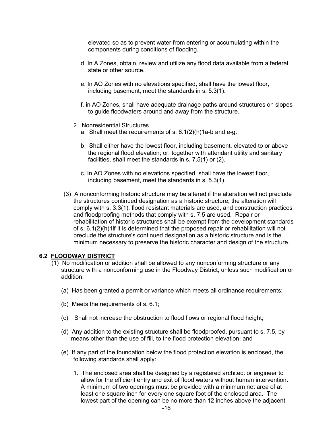elevated so as to prevent water from entering or accumulating within the components during conditions of flooding.

- d. In A Zones, obtain, review and utilize any flood data available from a federal, state or other source.
- e. In AO Zones with no elevations specified, shall have the lowest floor, including basement, meet the standards in s. 5.3(1).
- f. in AO Zones, shall have adequate drainage paths around structures on slopes to guide floodwaters around and away from the structure.
- 2. Nonresidential Structures
	- a. Shall meet the requirements of s. 6.1(2)(h)1a-b and e-g.
	- b. Shall either have the lowest floor, including basement, elevated to or above the regional flood elevation; or, together with attendant utility and sanitary facilities, shall meet the standards in s. 7.5(1) or (2).
	- c. In AO Zones with no elevations specified, shall have the lowest floor, including basement, meet the standards in s. 5.3(1).
- (3) A nonconforming historic structure may be altered if the alteration will not preclude the structures continued designation as a historic structure, the alteration will comply with s. 3.3(1), flood resistant materials are used, and construction practices and floodproofing methods that comply with s. 7.5 are used. Repair or rehabilitation of historic structures shall be exempt from the development standards of s. 6.1(2)(h)1if it is determined that the proposed repair or rehabilitation will not preclude the structure's continued designation as a historic structure and is the minimum necessary to preserve the historic character and design of the structure.

#### **6.2 FLOODWAY DISTRICT**

- (1) No modification or addition shall be allowed to any nonconforming structure or any structure with a nonconforming use in the Floodway District, unless such modification or addition:
	- (a) Has been granted a permit or variance which meets all ordinance requirements;
	- (b) Meets the requirements of s. 6.1;
	- (c) Shall not increase the obstruction to flood flows or regional flood height;
	- (d) Any addition to the existing structure shall be floodproofed, pursuant to s. 7.5, by means other than the use of fill, to the flood protection elevation; and
	- (e) If any part of the foundation below the flood protection elevation is enclosed, the following standards shall apply:
		- 1. The enclosed area shall be designed by a registered architect or engineer to allow for the efficient entry and exit of flood waters without human intervention. A minimum of two openings must be provided with a minimum net area of at least one square inch for every one square foot of the enclosed area. The lowest part of the opening can be no more than 12 inches above the adjacent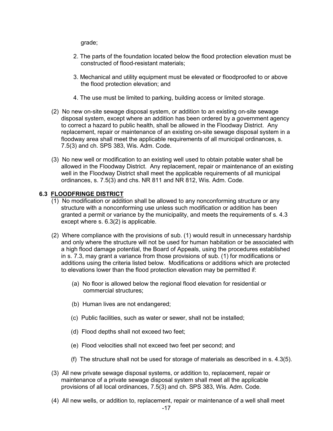grade;

- 2. The parts of the foundation located below the flood protection elevation must be constructed of flood-resistant materials;
- 3. Mechanical and utility equipment must be elevated or floodproofed to or above the flood protection elevation; and
- 4. The use must be limited to parking, building access or limited storage.
- (2) No new on-site sewage disposal system, or addition to an existing on-site sewage disposal system, except where an addition has been ordered by a government agency to correct a hazard to public health, shall be allowed in the Floodway District. Any replacement, repair or maintenance of an existing on-site sewage disposal system in a floodway area shall meet the applicable requirements of all municipal ordinances, s. 7.5(3) and ch. SPS 383, Wis. Adm. Code.
- (3) No new well or modification to an existing well used to obtain potable water shall be allowed in the Floodway District. Any replacement, repair or maintenance of an existing well in the Floodway District shall meet the applicable requirements of all municipal ordinances, s. 7.5(3) and chs. NR 811 and NR 812, Wis. Adm. Code.

## **6.3 FLOODFRINGE DISTRICT**

- (1) No modification or addition shall be allowed to any nonconforming structure or any structure with a nonconforming use unless such modification or addition has been granted a permit or variance by the municipality, and meets the requirements of s. 4.3 except where s. 6.3(2) is applicable.
- (2) Where compliance with the provisions of sub. (1) would result in unnecessary hardship and only where the structure will not be used for human habitation or be associated with a high flood damage potential, the Board of Appeals, using the procedures established in s. 7.3, may grant a variance from those provisions of sub. (1) for modifications or additions using the criteria listed below. Modifications or additions which are protected to elevations lower than the flood protection elevation may be permitted if:
	- (a) No floor is allowed below the regional flood elevation for residential or commercial structures;
	- (b) Human lives are not endangered;
	- (c) Public facilities, such as water or sewer, shall not be installed;
	- (d) Flood depths shall not exceed two feet;
	- (e) Flood velocities shall not exceed two feet per second; and
	- (f) The structure shall not be used for storage of materials as described in s. 4.3(5).
- (3) All new private sewage disposal systems, or addition to, replacement, repair or maintenance of a private sewage disposal system shall meet all the applicable provisions of all local ordinances, 7.5(3) and ch. SPS 383, Wis. Adm. Code.
- (4) All new wells, or addition to, replacement, repair or maintenance of a well shall meet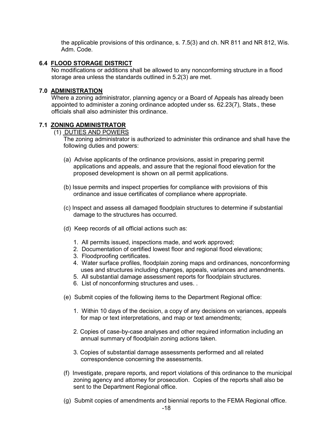the applicable provisions of this ordinance, s. 7.5(3) and ch. NR 811 and NR 812, Wis. Adm. Code.

#### **6.4 FLOOD STORAGE DISTRICT**

No modifications or additions shall be allowed to any nonconforming structure in a flood storage area unless the standards outlined in 5.2(3) are met.

## **7.0 ADMINISTRATION**

Where a zoning administrator, planning agency or a Board of Appeals has already been appointed to administer a zoning ordinance adopted under ss. 62.23(7), Stats., these officials shall also administer this ordinance.

#### **7.1 ZONING ADMINISTRATOR**

(1) DUTIES AND POWERS

The zoning administrator is authorized to administer this ordinance and shall have the following duties and powers:

- (a) Advise applicants of the ordinance provisions, assist in preparing permit applications and appeals, and assure that the regional flood elevation for the proposed development is shown on all permit applications.
- (b) Issue permits and inspect properties for compliance with provisions of this ordinance and issue certificates of compliance where appropriate.
- (c) Inspect and assess all damaged floodplain structures to determine if substantial damage to the structures has occurred.
- (d) Keep records of all official actions such as:
	- 1. All permits issued, inspections made, and work approved;
	- 2. Documentation of certified lowest floor and regional flood elevations;
	- 3. Floodproofing certificates.
	- 4. Water surface profiles, floodplain zoning maps and ordinances, nonconforming uses and structures including changes, appeals, variances and amendments.
	- 5. All substantial damage assessment reports for floodplain structures.
	- 6. List of nonconforming structures and uses. .
- (e) Submit copies of the following items to the Department Regional office:
	- 1. Within 10 days of the decision, a copy of any decisions on variances, appeals for map or text interpretations, and map or text amendments;
	- 2. Copies of case-by-case analyses and other required information including an annual summary of floodplain zoning actions taken.
	- 3. Copies of substantial damage assessments performed and all related correspondence concerning the assessments.
- (f) Investigate, prepare reports, and report violations of this ordinance to the municipal zoning agency and attorney for prosecution. Copies of the reports shall also be sent to the Department Regional office.
- (g) Submit copies of amendments and biennial reports to the FEMA Regional office.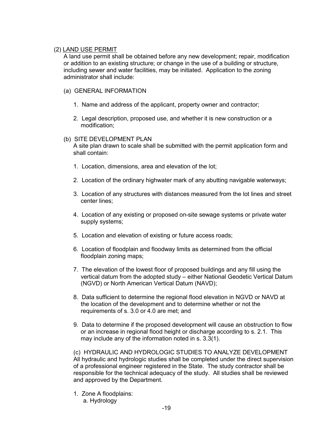# (2) LAND USE PERMIT

A land use permit shall be obtained before any new development; repair, modification or addition to an existing structure; or change in the use of a building or structure, including sewer and water facilities, may be initiated. Application to the zoning administrator shall include:

#### (a) GENERAL INFORMATION

- 1. Name and address of the applicant, property owner and contractor;
- 2. Legal description, proposed use, and whether it is new construction or a modification;

#### (b) SITE DEVELOPMENT PLAN

A site plan drawn to scale shall be submitted with the permit application form and shall contain:

- 1. Location, dimensions, area and elevation of the lot;
- 2. Location of the ordinary highwater mark of any abutting navigable waterways;
- 3. Location of any structures with distances measured from the lot lines and street center lines;
- 4. Location of any existing or proposed on-site sewage systems or private water supply systems;
- 5. Location and elevation of existing or future access roads;
- 6. Location of floodplain and floodway limits as determined from the official floodplain zoning maps;
- 7. The elevation of the lowest floor of proposed buildings and any fill using the vertical datum from the adopted study – either National Geodetic Vertical Datum (NGVD) or North American Vertical Datum (NAVD);
- 8. Data sufficient to determine the regional flood elevation in NGVD or NAVD at the location of the development and to determine whether or not the requirements of s. 3.0 or 4.0 are met; and
- 9. Data to determine if the proposed development will cause an obstruction to flow or an increase in regional flood height or discharge according to s. 2.1. This may include any of the information noted in s. 3.3(1).

(c) HYDRAULIC AND HYDROLOGIC STUDIES TO ANALYZE DEVELOPMENT All hydraulic and hydrologic studies shall be completed under the direct supervision of a professional engineer registered in the State. The study contractor shall be responsible for the technical adequacy of the study. All studies shall be reviewed and approved by the Department.

1. Zone A floodplains: a. Hydrology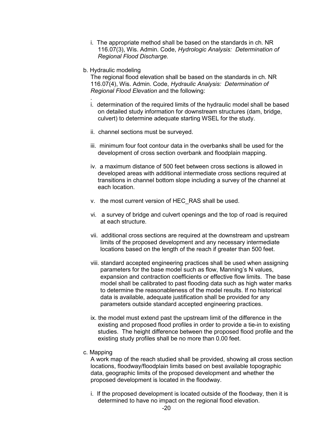- i. The appropriate method shall be based on the standards in ch. NR 116.07(3), Wis. Admin. Code, *Hydrologic Analysis: Determination of Regional Flood Discharge.*
- b. Hydraulic modeling

The regional flood elevation shall be based on the standards in ch. NR 116.07(4), Wis. Admin. Code, *Hydraulic Analysis: Determination of Regional Flood Elevation* and the following:

- *.* i. determination of the required limits of the hydraulic model shall be based on detailed study information for downstream structures (dam, bridge, culvert) to determine adequate starting WSEL for the study.
- ii. channel sections must be surveyed.
- iii. minimum four foot contour data in the overbanks shall be used for the development of cross section overbank and floodplain mapping.
- iv. a maximum distance of 500 feet between cross sections is allowed in developed areas with additional intermediate cross sections required at transitions in channel bottom slope including a survey of the channel at each location.
- v. the most current version of HEC\_RAS shall be used.
- vi. a survey of bridge and culvert openings and the top of road is required at each structure.
- vii. additional cross sections are required at the downstream and upstream limits of the proposed development and any necessary intermediate locations based on the length of the reach if greater than 500 feet.
- viii. standard accepted engineering practices shall be used when assigning parameters for the base model such as flow, Manning's N values, expansion and contraction coefficients or effective flow limits. The base model shall be calibrated to past flooding data such as high water marks to determine the reasonableness of the model results. If no historical data is available, adequate justification shall be provided for any parameters outside standard accepted engineering practices.
- ix. the model must extend past the upstream limit of the difference in the existing and proposed flood profiles in order to provide a tie-in to existing studies. The height difference between the proposed flood profile and the existing study profiles shall be no more than 0.00 feet.
- c. Mapping

A work map of the reach studied shall be provided, showing all cross section locations, floodway/floodplain limits based on best available topographic data, geographic limits of the proposed development and whether the proposed development is located in the floodway.

i. If the proposed development is located outside of the floodway, then it is determined to have no impact on the regional flood elevation.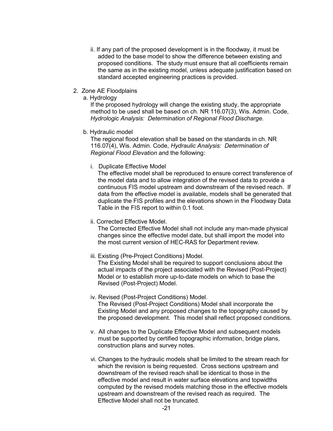- ii. If any part of the proposed development is in the floodway, it must be added to the base model to show the difference between existing and proposed conditions. The study must ensure that all coefficients remain the same as in the existing model, unless adequate justification based on standard accepted engineering practices is provided.
- 2. Zone AE Floodplains
	- a. Hydrology

If the proposed hydrology will change the existing study, the appropriate method to be used shall be based on ch. NR 116.07(3), Wis. Admin. Code, *Hydrologic Analysis: Determination of Regional Flood Discharge.*

b. Hydraulic model

The regional flood elevation shall be based on the standards in ch. NR 116.07(4), Wis. Admin. Code, *Hydraulic Analysis: Determination of Regional Flood Elevation* and the following:

i. Duplicate Effective Model

The effective model shall be reproduced to ensure correct transference of the model data and to allow integration of the revised data to provide a continuous FIS model upstream and downstream of the revised reach. If data from the effective model is available, models shall be generated that duplicate the FIS profiles and the elevations shown in the Floodway Data Table in the FIS report to within 0.1 foot.

ii. Corrected Effective Model.

The Corrected Effective Model shall not include any man-made physical changes since the effective model date, but shall import the model into the most current version of HEC-RAS for Department review.

iii. Existing (Pre-Project Conditions) Model.

The Existing Model shall be required to support conclusions about the actual impacts of the project associated with the Revised (Post-Project) Model or to establish more up-to-date models on which to base the Revised (Post-Project) Model.

- iv. Revised (Post-Project Conditions) Model. The Revised (Post-Project Conditions) Model shall incorporate the Existing Model and any proposed changes to the topography caused by the proposed development. This model shall reflect proposed conditions.
- v. All changes to the Duplicate Effective Model and subsequent models must be supported by certified topographic information, bridge plans, construction plans and survey notes.
- vi. Changes to the hydraulic models shall be limited to the stream reach for which the revision is being requested. Cross sections upstream and downstream of the revised reach shall be identical to those in the effective model and result in water surface elevations and topwidths computed by the revised models matching those in the effective models upstream and downstream of the revised reach as required. The Effective Model shall not be truncated.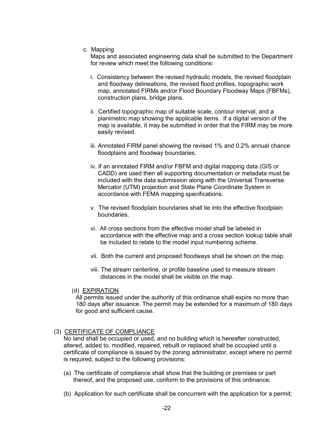c. Mapping

Maps and associated engineering data shall be submitted to the Department for review which meet the following conditions:

- i. Consistency between the revised hydraulic models, the revised floodplain and floodway delineations, the revised flood profiles, topographic work map, annotated FIRMs and/or Flood Boundary Floodway Maps (FBFMs), construction plans, bridge plans.
- ii. Certified topographic map of suitable scale, contour interval, and a planimetric map showing the applicable items. If a digital version of the map is available, it may be submitted in order that the FIRM may be more easily revised.
- iii. Annotated FIRM panel showing the revised 1% and 0.2% annual chance floodplains and floodway boundaries.
- iv. If an annotated FIRM and/or FBFM and digital mapping data (GIS or CADD) are used then all supporting documentation or metadata must be included with the data submission along with the Universal Transverse Mercator (UTM) projection and State Plane Coordinate System in accordance with FEMA mapping specifications.
- v. The revised floodplain boundaries shall tie into the effective floodplain boundaries.
- vi. All cross sections from the effective model shall be labeled in accordance with the effective map and a cross section lookup table shall be included to relate to the model input numbering scheme.
- vii. Both the current and proposed floodways shall be shown on the map.
- viii. The stream centerline, or profile baseline used to measure stream distances in the model shall be visible on the map.
- (d) EXPIRATION

All permits issued under the authority of this ordinance shall expire no more than 180 days after issuance. The permit may be extended for a maximum of 180 days for good and sufficient cause.

#### (3) CERTIFICATE OF COMPLIANCE

No land shall be occupied or used, and no building which is hereafter constructed, altered, added to, modified, repaired, rebuilt or replaced shall be occupied until a certificate of compliance is issued by the zoning administrator, except where no permit is required, subject to the following provisions:

- (a) The certificate of compliance shall show that the building or premises or part thereof, and the proposed use, conform to the provisions of this ordinance;
- (b) Application for such certificate shall be concurrent with the application for a permit;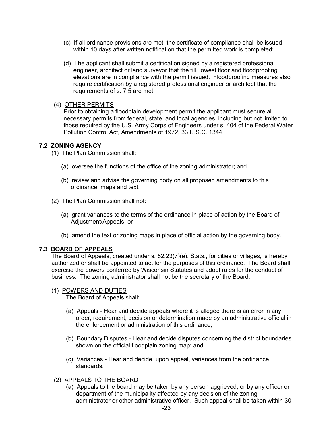- (c) If all ordinance provisions are met, the certificate of compliance shall be issued within 10 days after written notification that the permitted work is completed;
- (d) The applicant shall submit a certification signed by a registered professional engineer, architect or land surveyor that the fill, lowest floor and floodproofing elevations are in compliance with the permit issued. Floodproofing measures also require certification by a registered professional engineer or architect that the requirements of s. 7.5 are met.

#### (4) OTHER PERMITS

Prior to obtaining a floodplain development permit the applicant must secure all necessary permits from federal, state, and local agencies, including but not limited to those required by the U.S. Army Corps of Engineers under s. 404 of the Federal Water Pollution Control Act, Amendments of 1972, 33 U.S.C. 1344.

#### **7.2 ZONING AGENCY**

(1) The Plan Commission shall:

- (a) oversee the functions of the office of the zoning administrator; and
- (b) review and advise the governing body on all proposed amendments to this ordinance, maps and text.
- (2) The Plan Commission shall not:
	- (a) grant variances to the terms of the ordinance in place of action by the Board of Adjustment/Appeals; or
	- (b) amend the text or zoning maps in place of official action by the governing body.

#### **7.3 BOARD OF APPEALS**

The Board of Appeals, created under s. 62.23(7)(e), Stats., for cities or villages, is hereby authorized or shall be appointed to act for the purposes of this ordinance. The Board shall exercise the powers conferred by Wisconsin Statutes and adopt rules for the conduct of business. The zoning administrator shall not be the secretary of the Board.

(1) POWERS AND DUTIES

The Board of Appeals shall:

- (a) Appeals Hear and decide appeals where it is alleged there is an error in any order, requirement, decision or determination made by an administrative official in the enforcement or administration of this ordinance;
- (b) Boundary Disputes Hear and decide disputes concerning the district boundaries shown on the official floodplain zoning map; and
- (c) Variances Hear and decide, upon appeal, variances from the ordinance standards.
- (2) APPEALS TO THE BOARD
	- (a) Appeals to the board may be taken by any person aggrieved, or by any officer or department of the municipality affected by any decision of the zoning administrator or other administrative officer. Such appeal shall be taken within 30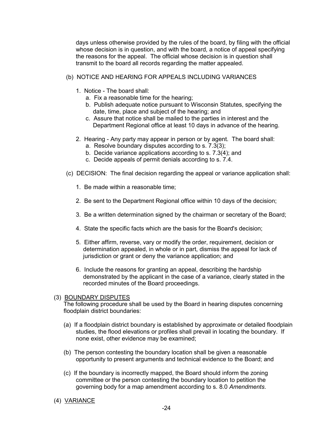days unless otherwise provided by the rules of the board, by filing with the official whose decision is in question, and with the board, a notice of appeal specifying the reasons for the appeal. The official whose decision is in question shall transmit to the board all records regarding the matter appealed.

- (b) NOTICE AND HEARING FOR APPEALS INCLUDING VARIANCES
	- 1. Notice The board shall:
		- a. Fix a reasonable time for the hearing;
		- b. Publish adequate notice pursuant to Wisconsin Statutes, specifying the date, time, place and subject of the hearing; and
		- c. Assure that notice shall be mailed to the parties in interest and the Department Regional office at least 10 days in advance of the hearing.
	- 2. Hearing Any party may appear in person or by agent. The board shall:
		- a. Resolve boundary disputes according to s. 7.3(3);
		- b. Decide variance applications according to s. 7.3(4); and
		- c. Decide appeals of permit denials according to s. 7.4.
- (c) DECISION: The final decision regarding the appeal or variance application shall:
	- 1. Be made within a reasonable time;
	- 2. Be sent to the Department Regional office within 10 days of the decision;
	- 3. Be a written determination signed by the chairman or secretary of the Board;
	- 4. State the specific facts which are the basis for the Board's decision;
	- 5. Either affirm, reverse, vary or modify the order, requirement, decision or determination appealed, in whole or in part, dismiss the appeal for lack of jurisdiction or grant or deny the variance application; and
	- 6. Include the reasons for granting an appeal, describing the hardship demonstrated by the applicant in the case of a variance, clearly stated in the recorded minutes of the Board proceedings.

#### (3) BOUNDARY DISPUTES

The following procedure shall be used by the Board in hearing disputes concerning floodplain district boundaries:

- (a) If a floodplain district boundary is established by approximate or detailed floodplain studies, the flood elevations or profiles shall prevail in locating the boundary. If none exist, other evidence may be examined;
- (b) The person contesting the boundary location shall be given a reasonable opportunity to present arguments and technical evidence to the Board; and
- (c) If the boundary is incorrectly mapped, the Board should inform the zoning committee or the person contesting the boundary location to petition the governing body for a map amendment according to s. 8.0 *Amendments*.

## (4) VARIANCE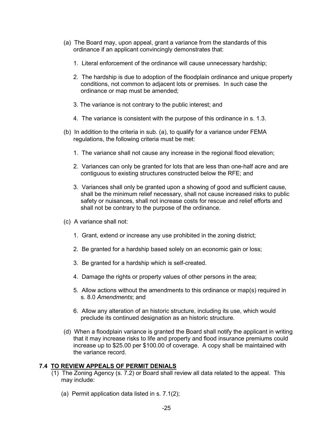- (a) The Board may, upon appeal, grant a variance from the standards of this ordinance if an applicant convincingly demonstrates that:
	- 1. Literal enforcement of the ordinance will cause unnecessary hardship;
	- 2. The hardship is due to adoption of the floodplain ordinance and unique property conditions, not common to adjacent lots or premises. In such case the ordinance or map must be amended;
	- 3. The variance is not contrary to the public interest; and
	- 4. The variance is consistent with the purpose of this ordinance in s. 1.3.
- (b) In addition to the criteria in sub. (a), to qualify for a variance under FEMA regulations, the following criteria must be met:
	- 1. The variance shall not cause any increase in the regional flood elevation;
	- 2. Variances can only be granted for lots that are less than one-half acre and are contiguous to existing structures constructed below the RFE; and
	- 3. Variances shall only be granted upon a showing of good and sufficient cause, shall be the minimum relief necessary, shall not cause increased risks to public safety or nuisances, shall not increase costs for rescue and relief efforts and shall not be contrary to the purpose of the ordinance.
- (c) A variance shall not:
	- 1. Grant, extend or increase any use prohibited in the zoning district;
	- 2. Be granted for a hardship based solely on an economic gain or loss;
	- 3. Be granted for a hardship which is self-created.
	- 4. Damage the rights or property values of other persons in the area;
	- 5. Allow actions without the amendments to this ordinance or map(s) required in s. 8.0 *Amendments*; and
	- 6. Allow any alteration of an historic structure, including its use, which would preclude its continued designation as an historic structure.
- (d) When a floodplain variance is granted the Board shall notify the applicant in writing that it may increase risks to life and property and flood insurance premiums could increase up to \$25.00 per \$100.00 of coverage. A copy shall be maintained with the variance record.

#### **7.4 TO REVIEW APPEALS OF PERMIT DENIALS**

- (1) The Zoning Agency (s. 7.2) or Board shall review all data related to the appeal. This may include:
	- (a) Permit application data listed in s. 7.1(2);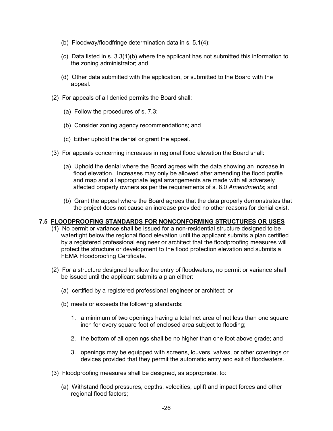- (b) Floodway/floodfringe determination data in s. 5.1(4);
- (c) Data listed in s. 3.3(1)(b) where the applicant has not submitted this information to the zoning administrator; and
- (d) Other data submitted with the application, or submitted to the Board with the appeal.
- (2) For appeals of all denied permits the Board shall:
	- (a) Follow the procedures of s. 7.3;
	- (b) Consider zoning agency recommendations; and
	- (c) Either uphold the denial or grant the appeal.
- (3) For appeals concerning increases in regional flood elevation the Board shall:
	- (a) Uphold the denial where the Board agrees with the data showing an increase in flood elevation. Increases may only be allowed after amending the flood profile and map and all appropriate legal arrangements are made with all adversely affected property owners as per the requirements of s. 8.0 *Amendments*; and
	- (b) Grant the appeal where the Board agrees that the data properly demonstrates that the project does not cause an increase provided no other reasons for denial exist.

#### **7.5 FLOODPROOFING STANDARDS FOR NONCONFORMING STRUCTURES OR USES**

- (1) No permit or variance shall be issued for a non-residential structure designed to be watertight below the regional flood elevation until the applicant submits a plan certified by a registered professional engineer or architect that the floodproofing measures will protect the structure or development to the flood protection elevation and submits a FEMA Floodproofing Certificate.
- (2) For a structure designed to allow the entry of floodwaters, no permit or variance shall be issued until the applicant submits a plan either:
	- (a) certified by a registered professional engineer or architect; or
	- (b) meets or exceeds the following standards:
		- 1. a minimum of two openings having a total net area of not less than one square inch for every square foot of enclosed area subject to flooding;
		- 2. the bottom of all openings shall be no higher than one foot above grade; and
		- 3. openings may be equipped with screens, louvers, valves, or other coverings or devices provided that they permit the automatic entry and exit of floodwaters.
- (3) Floodproofing measures shall be designed, as appropriate, to:
	- (a) Withstand flood pressures, depths, velocities, uplift and impact forces and other regional flood factors;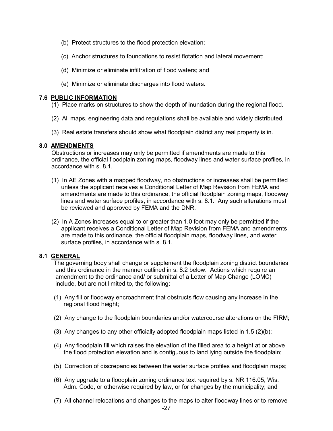- (b) Protect structures to the flood protection elevation;
- (c) Anchor structures to foundations to resist flotation and lateral movement;
- (d) Minimize or eliminate infiltration of flood waters; and
- (e) Minimize or eliminate discharges into flood waters.

#### **7.6 PUBLIC INFORMATION**

- (1) Place marks on structures to show the depth of inundation during the regional flood.
- (2) All maps, engineering data and regulations shall be available and widely distributed.
- (3) Real estate transfers should show what floodplain district any real property is in.

#### **8.0 AMENDMENTS**

Obstructions or increases may only be permitted if amendments are made to this ordinance, the official floodplain zoning maps, floodway lines and water surface profiles, in accordance with s. 8.1.

- (1) In AE Zones with a mapped floodway, no obstructions or increases shall be permitted unless the applicant receives a Conditional Letter of Map Revision from FEMA and amendments are made to this ordinance, the official floodplain zoning maps, floodway lines and water surface profiles, in accordance with s. 8.1. Any such alterations must be reviewed and approved by FEMA and the DNR.
- (2) In A Zones increases equal to or greater than 1.0 foot may only be permitted if the applicant receives a Conditional Letter of Map Revision from FEMA and amendments are made to this ordinance, the official floodplain maps, floodway lines, and water surface profiles, in accordance with s. 8.1.

#### **8.1 GENERAL**

The governing body shall change or supplement the floodplain zoning district boundaries and this ordinance in the manner outlined in s. 8.2 below. Actions which require an amendment to the ordinance and/ or submittal of a Letter of Map Change (LOMC) include, but are not limited to, the following:

- (1) Any fill or floodway encroachment that obstructs flow causing any increase in the regional flood height;
- (2) Any change to the floodplain boundaries and/or watercourse alterations on the FIRM;
- (3) Any changes to any other officially adopted floodplain maps listed in  $1.5 \, (2)(b)$ ;
- (4) Any floodplain fill which raises the elevation of the filled area to a height at or above the flood protection elevation and is contiguous to land lying outside the floodplain;
- (5) Correction of discrepancies between the water surface profiles and floodplain maps;
- (6) Any upgrade to a floodplain zoning ordinance text required by s. NR 116.05, Wis. Adm. Code, or otherwise required by law, or for changes by the municipality; and
- (7) All channel relocations and changes to the maps to alter floodway lines or to remove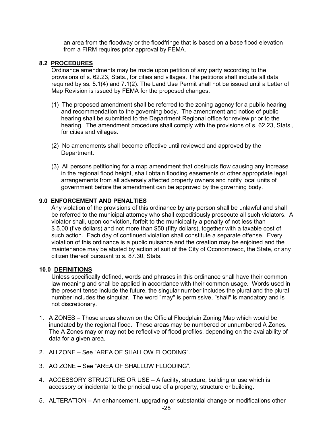an area from the floodway or the floodfringe that is based on a base flood elevation from a FIRM requires prior approval by FEMA.

#### **8.2 PROCEDURES**

Ordinance amendments may be made upon petition of any party according to the provisions of s. 62.23, Stats., for cities and villages. The petitions shall include all data required by ss. 5.1(4) and 7.1(2). The Land Use Permit shall not be issued until a Letter of Map Revision is issued by FEMA for the proposed changes.

- (1) The proposed amendment shall be referred to the zoning agency for a public hearing and recommendation to the governing body. The amendment and notice of public hearing shall be submitted to the Department Regional office for review prior to the hearing. The amendment procedure shall comply with the provisions of s. 62.23, Stats., for cities and villages.
- (2) No amendments shall become effective until reviewed and approved by the Department.
- (3) All persons petitioning for a map amendment that obstructs flow causing any increase in the regional flood height, shall obtain flooding easements or other appropriate legal arrangements from all adversely affected property owners and notify local units of government before the amendment can be approved by the governing body.

#### **9.0 ENFORCEMENT AND PENALTIES**

Any violation of the provisions of this ordinance by any person shall be unlawful and shall be referred to the municipal attorney who shall expeditiously prosecute all such violators. A violator shall, upon conviction, forfeit to the municipality a penalty of not less than \$ 5.00 (five dollars) and not more than \$50 (fifty dollars), together with a taxable cost of such action. Each day of continued violation shall constitute a separate offense. Every violation of this ordinance is a public nuisance and the creation may be enjoined and the maintenance may be abated by action at suit of the City of Oconomowoc, the State, or any citizen thereof pursuant to s. 87.30, Stats.

#### **10.0 DEFINITIONS**

Unless specifically defined, words and phrases in this ordinance shall have their common law meaning and shall be applied in accordance with their common usage. Words used in the present tense include the future, the singular number includes the plural and the plural number includes the singular. The word "may" is permissive, "shall" is mandatory and is not discretionary.

- 1. A ZONES Those areas shown on the Official Floodplain Zoning Map which would be inundated by the regional flood*.* These areas may be numbered or unnumbered A Zones. The A Zones may or may not be reflective of flood profiles, depending on the availability of data for a given area.
- 2. AH ZONE See "AREA OF SHALLOW FLOODING"
- 3. AO ZONE See "AREA OF SHALLOW FLOODING".
- 4. ACCESSORY STRUCTURE OR USE A facility, structure, building or use which is accessory or incidental to the principal use of a property, structure or building.
- 5. ALTERATION An enhancement, upgrading or substantial change or modifications other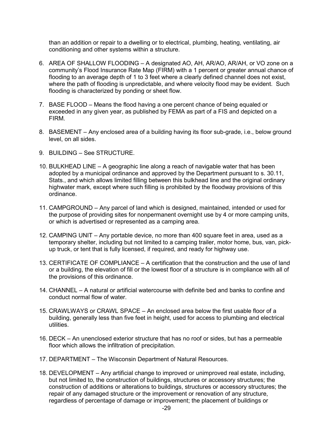than an addition or repair to a dwelling or to electrical, plumbing, heating, ventilating, air conditioning and other systems within a structure.

- 6. AREA OF SHALLOW FLOODING A designated AO, AH, AR/AO, AR/AH, or VO zone on a community's Flood Insurance Rate Map (FIRM) with a 1 percent or greater annual chance of flooding to an average depth of 1 to 3 feet where a clearly defined channel does not exist, where the path of flooding is unpredictable, and where velocity flood may be evident. Such flooding is characterized by ponding or sheet flow.
- 7. BASE FLOOD Means the flood having a one percent chance of being equaled or exceeded in any given year, as published by FEMA as part of a FIS and depicted on a FIRM.
- 8. BASEMENT Any enclosed area of a building having its floor sub-grade, i.e., below ground level, on all sides.
- 9. BUILDING See STRUCTURE.
- 10. BULKHEAD LINE A geographic line along a reach of navigable water that has been adopted by a municipal ordinance and approved by the Department pursuant to s. 30.11, Stats., and which allows limited filling between this bulkhead line and the original ordinary highwater mark, except where such filling is prohibited by the floodway provisions of this ordinance.
- 11. CAMPGROUND Any parcel of land which is designed, maintained, intended or used for the purpose of providing sites for nonpermanent overnight use by 4 or more camping units, or which is advertised or represented as a camping area.
- 12. CAMPING UNIT Any portable device, no more than 400 square feet in area, used as a temporary shelter, including but not limited to a camping trailer, motor home, bus, van, pickup truck, or tent that is fully licensed, if required, and ready for highway use.
- 13. CERTIFICATE OF COMPLIANCE A certification that the construction and the use of land or a building, the elevation of fill or the lowest floor of a structure is in compliance with all of the provisions of this ordinance.
- 14. CHANNEL A natural or artificial watercourse with definite bed and banks to confine and conduct normal flow of water.
- 15. CRAWLWAYS or CRAWL SPACE An enclosed area below the first usable floor of a building, generally less than five feet in height, used for access to plumbing and electrical utilities.
- 16. DECK An unenclosed exterior structure that has no roof or sides, but has a permeable floor which allows the infiltration of precipitation.
- 17. DEPARTMENT The Wisconsin Department of Natural Resources.
- 18. DEVELOPMENT Any artificial change to improved or unimproved real estate, including, but not limited to, the construction of buildings, structures or accessory structures; the construction of additions or alterations to buildings, structures or accessory structures; the repair of any damaged structure or the improvement or renovation of any structure, regardless of percentage of damage or improvement; the placement of buildings or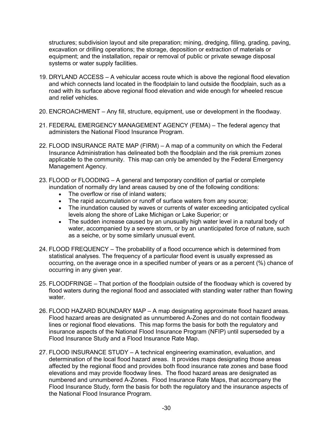structures; subdivision layout and site preparation; mining, dredging, filling, grading, paving, excavation or drilling operations; the storage, deposition or extraction of materials or equipment; and the installation, repair or removal of public or private sewage disposal systems or water supply facilities.

- 19. DRYLAND ACCESS A vehicular access route which is above the regional flood elevation and which connects land located in the floodplain to land outside the floodplain, such as a road with its surface above regional flood elevation and wide enough for wheeled rescue and relief vehicles.
- 20. ENCROACHMENT Any fill, structure, equipment, use or development in the floodway.
- 21. FEDERAL EMERGENCY MANAGEMENT AGENCY (FEMA) The federal agency that administers the National Flood Insurance Program.
- 22. FLOOD INSURANCE RATE MAP (FIRM) A map of a community on which the Federal Insurance Administration has delineated both the floodplain and the risk premium zones applicable to the community. This map can only be amended by the Federal Emergency Management Agency.
- 23. FLOOD or FLOODING A general and temporary condition of partial or complete inundation of normally dry land areas caused by one of the following conditions:
	- The overflow or rise of inland waters;
	- The rapid accumulation or runoff of surface waters from any source;
	- The inundation caused by waves or currents of water exceeding anticipated cyclical levels along the shore of Lake Michigan or Lake Superior; or
	- The sudden increase caused by an unusually high water level in a natural body of water, accompanied by a severe storm, or by an unanticipated force of nature, such as a seiche, or by some similarly unusual event.
- 24. FLOOD FREQUENCY The probability of a flood occurrence which is determined from statistical analyses. The frequency of a particular flood event is usually expressed as occurring, on the average once in a specified number of years or as a percent (%) chance of occurring in any given year.
- 25. FLOODFRINGE That portion of the floodplain outside of the floodway which is covered by flood waters during the regional flood and associated with standing water rather than flowing water.
- 26. FLOOD HAZARD BOUNDARY MAP A map designating approximate flood hazard areas. Flood hazard areas are designated as unnumbered A-Zones and do not contain floodway lines or regional flood elevations. This map forms the basis for both the regulatory and insurance aspects of the National Flood Insurance Program (NFIP) until superseded by a Flood Insurance Study and a Flood Insurance Rate Map.
- 27. FLOOD INSURANCE STUDY A technical engineering examination, evaluation, and determination of the local flood hazard areas. It provides maps designating those areas affected by the regional flood and provides both flood insurance rate zones and base flood elevations and may provide floodway lines. The flood hazard areas are designated as numbered and unnumbered A-Zones. Flood Insurance Rate Maps, that accompany the Flood Insurance Study, form the basis for both the regulatory and the insurance aspects of the National Flood Insurance Program.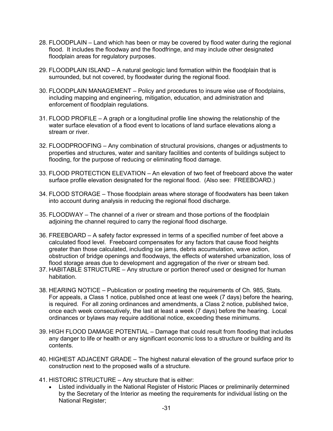- 28. FLOODPLAIN Land which has been or may be covered by flood water during the regional flood. It includes the floodway and the floodfringe, and may include other designated floodplain areas for regulatory purposes.
- 29. FLOODPLAIN ISLAND A natural geologic land formation within the floodplain that is surrounded, but not covered, by floodwater during the regional flood.
- 30. FLOODPLAIN MANAGEMENT Policy and procedures to insure wise use of floodplains, including mapping and engineering, mitigation, education, and administration and enforcement of floodplain regulations.
- 31. FLOOD PROFILE A graph or a longitudinal profile line showing the relationship of the water surface elevation of a flood event to locations of land surface elevations along a stream or river.
- 32. FLOODPROOFING Any combination of structural provisions, changes or adjustments to properties and structures, water and sanitary facilities and contents of buildings subject to flooding, for the purpose of reducing or eliminating flood damage.
- 33. FLOOD PROTECTION ELEVATION An elevation of two feet of freeboard above the water surface profile elevation designated for the regional flood. (Also see: FREEBOARD.)
- 34. FLOOD STORAGE Those floodplain areas where storage of floodwaters has been taken into account during analysis in reducing the regional flood discharge.
- 35. FLOODWAY The channel of a river or stream and those portions of the floodplain adjoining the channel required to carry the regional flood discharge.
- 36. FREEBOARD A safety factor expressed in terms of a specified number of feet above a calculated flood level. Freeboard compensates for any factors that cause flood heights greater than those calculated, including ice jams, debris accumulation, wave action, obstruction of bridge openings and floodways, the effects of watershed urbanization, loss of flood storage areas due to development and aggregation of the river or stream bed.
- 37. HABITABLE STRUCTURE Any structure or portion thereof used or designed for human habitation.
- 38. HEARING NOTICE Publication or posting meeting the requirements of Ch. 985, Stats. For appeals, a Class 1 notice, published once at least one week (7 days) before the hearing, is required. For all zoning ordinances and amendments, a Class 2 notice, published twice, once each week consecutively, the last at least a week (7 days) before the hearing. Local ordinances or bylaws may require additional notice, exceeding these minimums.
- 39. HIGH FLOOD DAMAGE POTENTIAL Damage that could result from flooding that includes any danger to life or health or any significant economic loss to a structure or building and its contents.
- 40. HIGHEST ADJACENT GRADE The highest natural elevation of the ground surface prior to construction next to the proposed walls of a structure.
- 41. HISTORIC STRUCTURE Any structure that is either:
	- Listed individually in the National Register of Historic Places or preliminarily determined by the Secretary of the Interior as meeting the requirements for individual listing on the National Register;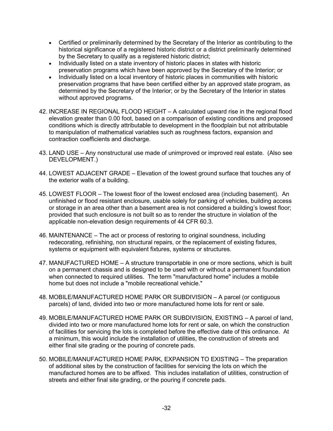- Certified or preliminarily determined by the Secretary of the Interior as contributing to the historical significance of a registered historic district or a district preliminarily determined by the Secretary to qualify as a registered historic district;
- Individually listed on a state inventory of historic places in states with historic preservation programs which have been approved by the Secretary of the Interior; or
- Individually listed on a local inventory of historic places in communities with historic preservation programs that have been certified either by an approved state program, as determined by the Secretary of the Interior; or by the Secretary of the Interior in states without approved programs.
- 42. INCREASE IN REGIONAL FLOOD HEIGHT A calculated upward rise in the regional flood elevation greater than 0.00 foot, based on a comparison of existing conditions and proposed conditions which is directly attributable to development in the floodplain but not attributable to manipulation of mathematical variables such as roughness factors, expansion and contraction coefficients and discharge.
- 43. LAND USE Any nonstructural use made of unimproved or improved real estate. (Also see DEVELOPMENT.)
- 44. LOWEST ADJACENT GRADE Elevation of the lowest ground surface that touches any of the exterior walls of a building.
- 45. LOWEST FLOOR The lowest floor of the lowest enclosed area (including basement). An unfinished or flood resistant enclosure, usable solely for parking of vehicles, building access or storage in an area other than a basement area is not considered a building's lowest floor; provided that such enclosure is not built so as to render the structure in violation of the applicable non-elevation design requirements of 44 CFR 60.3.
- 46. MAINTENANCE The act or process of restoring to original soundness, including redecorating, refinishing, non structural repairs, or the replacement of existing fixtures, systems or equipment with equivalent fixtures, systems or structures.
- 47. MANUFACTURED HOME A structure transportable in one or more sections, which is built on a permanent chassis and is designed to be used with or without a permanent foundation when connected to required utilities. The term "manufactured home" includes a mobile home but does not include a "mobile recreational vehicle."
- 48. MOBILE/MANUFACTURED HOME PARK OR SUBDIVISION A parcel (or contiguous parcels) of land, divided into two or more manufactured home lots for rent or sale.
- 49. MOBILE/MANUFACTURED HOME PARK OR SUBDIVISION, EXISTING A parcel of land, divided into two or more manufactured home lots for rent or sale, on which the construction of facilities for servicing the lots is completed before the effective date of this ordinance. At a minimum, this would include the installation of utilities, the construction of streets and either final site grading or the pouring of concrete pads.
- 50. MOBILE/MANUFACTURED HOME PARK, EXPANSION TO EXISTING The preparation of additional sites by the construction of facilities for servicing the lots on which the manufactured homes are to be affixed. This includes installation of utilities, construction of streets and either final site grading, or the pouring if concrete pads.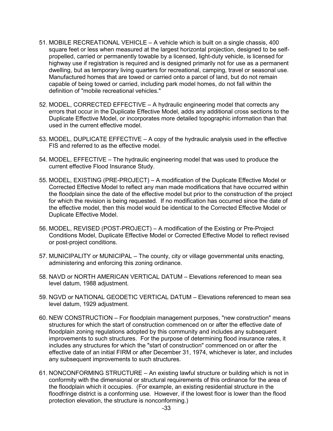- 51. MOBILE RECREATIONAL VEHICLE A vehicle which is built on a single chassis, 400 square feet or less when measured at the largest horizontal projection, designed to be selfpropelled, carried or permanently towable by a licensed, light-duty vehicle, is licensed for highway use if registration is required and is designed primarily not for use as a permanent dwelling, but as temporary living quarters for recreational, camping, travel or seasonal use. Manufactured homes that are towed or carried onto a parcel of land, but do not remain capable of being towed or carried, including park model homes, do not fall within the definition of "mobile recreational vehicles."
- 52. MODEL, CORRECTED EFFECTIVE A hydraulic engineering model that corrects any errors that occur in the Duplicate Effective Model, adds any additional cross sections to the Duplicate Effective Model, or incorporates more detailed topographic information than that used in the current effective model.
- 53. MODEL, DUPLICATE EFFECTIVE A copy of the hydraulic analysis used in the effective FIS and referred to as the effective model.
- 54. MODEL, EFFECTIVE The hydraulic engineering model that was used to produce the current effective Flood Insurance Study.
- 55. MODEL, EXISTING (PRE-PROJECT) A modification of the Duplicate Effective Model or Corrected Effective Model to reflect any man made modifications that have occurred within the floodplain since the date of the effective model but prior to the construction of the project for which the revision is being requested. If no modification has occurred since the date of the effective model, then this model would be identical to the Corrected Effective Model or Duplicate Effective Model.
- 56. MODEL, REVISED (POST-PROJECT) A modification of the Existing or Pre-Project Conditions Model, Duplicate Effective Model or Corrected Effective Model to reflect revised or post-project conditions.
- 57. MUNICIPALITY or MUNICIPAL The county, city or village governmental units enacting, administering and enforcing this zoning ordinance.
- 58. NAVD or NORTH AMERICAN VERTICAL DATUM Elevations referenced to mean sea level datum, 1988 adjustment.
- 59. NGVD or NATIONAL GEODETIC VERTICAL DATUM Elevations referenced to mean sea level datum, 1929 adjustment.
- 60. NEW CONSTRUCTION For floodplain management purposes, "new construction" means structures for which the start of construction commenced on or after the effective date of floodplain zoning regulations adopted by this community and includes any subsequent improvements to such structures. For the purpose of determining flood insurance rates, it includes any structures for which the "start of construction" commenced on or after the effective date of an initial FIRM or after December 31, 1974, whichever is later, and includes any subsequent improvements to such structures.
- 61. NONCONFORMING STRUCTURE An existing lawful structure or building which is not in conformity with the dimensional or structural requirements of this ordinance for the area of the floodplain which it occupies. (For example, an existing residential structure in the floodfringe district is a conforming use. However, if the lowest floor is lower than the flood protection elevation, the structure is nonconforming.)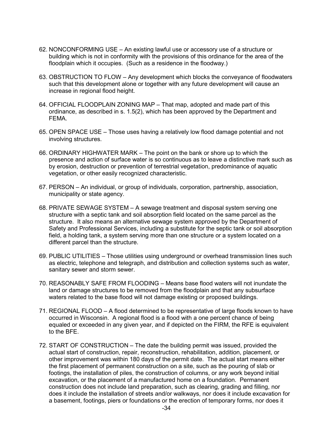- 62. NONCONFORMING USE An existing lawful use or accessory use of a structure or building which is not in conformity with the provisions of this ordinance for the area of the floodplain which it occupies. (Such as a residence in the floodway.)
- 63. OBSTRUCTION TO FLOW Any development which blocks the conveyance of floodwaters such that this development alone or together with any future development will cause an increase in regional flood height.
- 64. OFFICIAL FLOODPLAIN ZONING MAP That map, adopted and made part of this ordinance, as described in s. 1.5(2), which has been approved by the Department and FEMA.
- 65. OPEN SPACE USE Those uses having a relatively low flood damage potential and not involving structures.
- 66. ORDINARY HIGHWATER MARK The point on the bank or shore up to which the presence and action of surface water is so continuous as to leave a distinctive mark such as by erosion, destruction or prevention of terrestrial vegetation, predominance of aquatic vegetation, or other easily recognized characteristic.
- 67. PERSON An individual, or group of individuals, corporation, partnership, association, municipality or state agency.
- 68. PRIVATE SEWAGE SYSTEM A sewage treatment and disposal system serving one structure with a septic tank and soil absorption field located on the same parcel as the structure. It also means an alternative sewage system approved by the Department of Safety and Professional Services, including a substitute for the septic tank or soil absorption field, a holding tank, a system serving more than one structure or a system located on a different parcel than the structure.
- 69. PUBLIC UTILITIES Those utilities using underground or overhead transmission lines such as electric, telephone and telegraph, and distribution and collection systems such as water, sanitary sewer and storm sewer.
- 70. REASONABLY SAFE FROM FLOODING Means base flood waters will not inundate the land or damage structures to be removed from the floodplain and that any subsurface waters related to the base flood will not damage existing or proposed buildings.
- 71. REGIONAL FLOOD A flood determined to be representative of large floods known to have occurred in Wisconsin. A regional flood is a flood with a one percent chance of being equaled or exceeded in any given year, and if depicted on the FIRM, the RFE is equivalent to the BFE.
- 72. START OF CONSTRUCTION The date the building permit was issued, provided the actual start of construction, repair, reconstruction, rehabilitation, addition, placement, or other improvement was within 180 days of the permit date. The actual start means either the first placement of permanent construction on a site, such as the pouring of slab or footings, the installation of piles, the construction of columns, or any work beyond initial excavation, or the placement of a manufactured home on a foundation. Permanent construction does not include land preparation, such as clearing, grading and filling, nor does it include the installation of streets and/or walkways, nor does it include excavation for a basement, footings, piers or foundations or the erection of temporary forms, nor does it